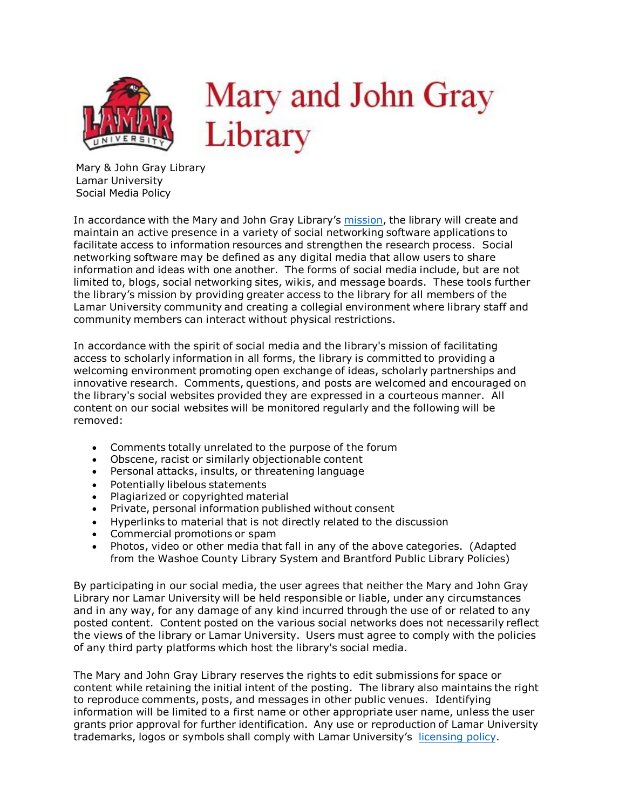

Mary & John Gray Library Lamar University Social Media Policy

In accordance with the Mary and John Gray Library's [mission,](https://www.lamar.edu/library/about/mission-and-history.html) the library will create and maintain an active presence in a variety of social networking software applications to facilitate access to information resources and strengthen the research process. Social networking software may be defined as any digital media that allow users to share information and ideas with one another. The forms of social media include, but are not limited to, blogs, social networking sites, wikis, and message boards. These tools further the library's mission by providing greater access to the library for all members of the Lamar University community and creating a collegial environment where library staff and community members can interact without physical restrictions.

In accordance with the spirit of social media and the library's mission of facilitating access to scholarly information in all forms, the library is committed to providing a welcoming environment promoting open exchange of ideas, scholarly partnerships and innovative research. Comments, questions, and posts are welcomed and encouraged on the library's social websites provided they are expressed in a courteous manner. All content on our social websites will be monitored regularly and the following will be removed:

- Comments totally unrelated to the purpose of the forum
- Obscene, racist or similarly objectionable content
- Personal attacks, insults, or threatening language
- Potentially libelous statements
- Plagiarized or copyrighted material
- Private, personal information published without consent
- Hyperlinks to material that is not directly related to the discussion
- Commercial promotions or spam
- Photos, video or other media that fall in any of the above categories. (Adapted from the Washoe County Library System and Brantford Public Library Policies)

By participating in our social media, the user agrees that neither the Mary and John Gray Library nor Lamar University will be held responsible or liable, under any circumstances and in any way, for any damage of any kind incurred through the use of or related to any posted content. Content posted on the various social networks does not necessarily reflect the views of the library or Lamar University. Users must agree to comply with the policies of any third party platforms which host the library's social media.

The Mary and John Gray Library reserves the rights to edit submissions for space or content while retaining the initial intent of the posting. The library also maintains the right to reproduce comments, posts, and messages in other public venues. Identifying information will be limited to a first name or other appropriate user name, unless the user grants prior approval for further identification. Any use or reproduction of Lamar University trademarks, logos or symbols shall comply with Lamar University's [licensing policy](https://www.lamar.edu/marketing-communications/guidelines/licensing-and-trademarks/index.html).